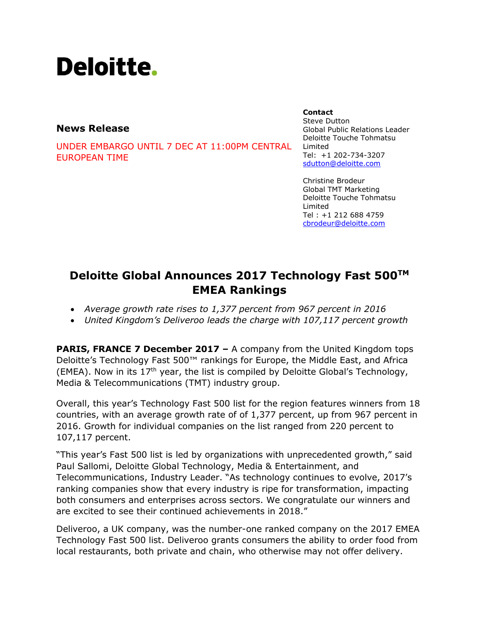# Deloitte.

# **News Release**

UNDER EMBARGO UNTIL 7 DEC AT 11:00PM CENTRAL EUROPEAN TIME

#### **Contact**

Steve Dutton Global Public Relations Leader Deloitte Touche Tohmatsu Limited Tel: +1 202-734-3207 [sdutton@deloitte.com](mailto:sdutton@deloitte.com)

Christine Brodeur Global TMT Marketing Deloitte Touche Tohmatsu Limited Tel : +1 212 688 4759 [cbrodeur@deloitte.com](mailto:cbrodeur@deloitte.com)

# **Deloitte Global Announces 2017 Technology Fast 500TM EMEA Rankings**

- *Average growth rate rises to 1,377 percent from 967 percent in 2016*
- *United Kingdom's Deliveroo leads the charge with 107,117 percent growth*

**PARIS, FRANCE 7 December 2017 –** A company from the United Kingdom tops Deloitte's Technology Fast 500™ rankings for Europe, the Middle East, and Africa (EMEA). Now in its  $17<sup>th</sup>$  year, the list is compiled by Deloitte Global's Technology, Media & Telecommunications (TMT) industry group.

Overall, this year's Technology Fast 500 list for the region features winners from 18 countries, with an average growth rate of of 1,377 percent, up from 967 percent in 2016. Growth for individual companies on the list ranged from 220 percent to 107,117 percent.

"This year's Fast 500 list is led by organizations with unprecedented growth," said Paul Sallomi, Deloitte Global Technology, Media & Entertainment, and Telecommunications, Industry Leader. "As technology continues to evolve, 2017's ranking companies show that every industry is ripe for transformation, impacting both consumers and enterprises across sectors. We congratulate our winners and are excited to see their continued achievements in 2018."

Deliveroo, a UK company, was the number-one ranked company on the 2017 EMEA Technology Fast 500 list. Deliveroo grants consumers the ability to order food from local restaurants, both private and chain, who otherwise may not offer delivery.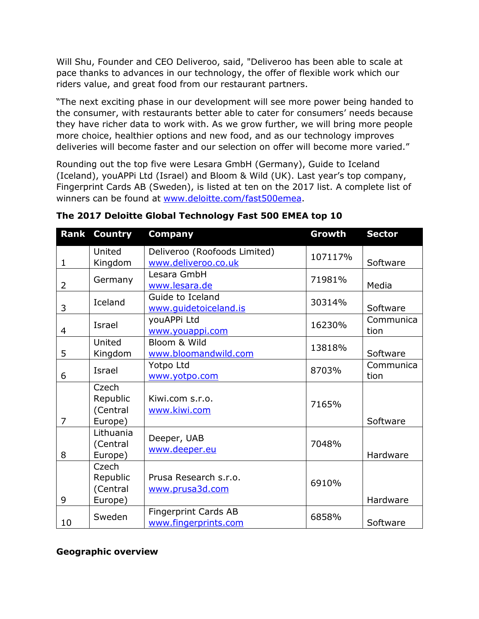Will Shu, Founder and CEO Deliveroo, said, "Deliveroo has been able to scale at pace thanks to advances in our technology, the offer of flexible work which our riders value, and great food from our restaurant partners.

"The next exciting phase in our development will see more power being handed to the consumer, with restaurants better able to cater for consumers' needs because they have richer data to work with. As we grow further, we will bring more people more choice, healthier options and new food, and as our technology improves deliveries will become faster and our selection on offer will become more varied."

Rounding out the top five were Lesara GmbH (Germany), Guide to Iceland (Iceland), youAPPi Ltd (Israel) and Bloom & Wild (UK). Last year's top company, Fingerprint Cards AB (Sweden), is listed at ten on the 2017 list. A complete list of winners can be found at [www.deloitte.com/fast500emea.](http://www.deloitte.com/fast500emea)

| <b>Rank</b>    | <b>Country</b>                           | <b>Company</b>                                      | Growth  | <b>Sector</b>     |
|----------------|------------------------------------------|-----------------------------------------------------|---------|-------------------|
| $\mathbf{1}$   | United<br>Kingdom                        | Deliveroo (Roofoods Limited)<br>www.deliveroo.co.uk | 107117% | Software          |
| 2              | Germany                                  | Lesara GmbH<br>www.lesara.de                        | 71981%  | Media             |
| 3              | Iceland                                  | Guide to Iceland<br>www.guidetoiceland.is           | 30314%  | Software          |
| 4              | <b>Israel</b>                            | youAPPi Ltd<br>www.youappi.com                      | 16230%  | Communica<br>tion |
| 5              | United<br>Kingdom                        | Bloom & Wild<br>www.bloomandwild.com                | 13818%  | Software          |
| 6              | <b>Israel</b>                            | Yotpo Ltd<br>www.yotpo.com                          | 8703%   | Communica<br>tion |
| $\overline{7}$ | Czech<br>Republic<br>(Central<br>Europe) | Kiwi.com s.r.o.<br>www.kiwi.com                     | 7165%   | Software          |
| 8              | Lithuania<br>(Central<br>Europe)         | Deeper, UAB<br>www.deeper.eu                        | 7048%   | Hardware          |
| 9              | Czech<br>Republic<br>(Central<br>Europe) | Prusa Research s.r.o.<br>www.prusa3d.com            | 6910%   | Hardware          |
| 10             | Sweden                                   | <b>Fingerprint Cards AB</b><br>www.fingerprints.com | 6858%   | Software          |

**The 2017 Deloitte Global Technology Fast 500 EMEA top 10**

## **Geographic overview**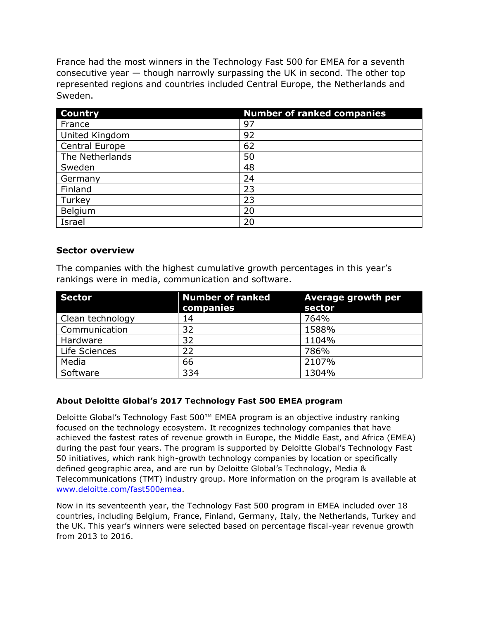France had the most winners in the Technology Fast 500 for EMEA for a seventh consecutive year — though narrowly surpassing the UK in second. The other top represented regions and countries included Central Europe, the Netherlands and Sweden.

| <b>Country</b>  | <b>Number of ranked companies</b> |
|-----------------|-----------------------------------|
| France          | 97                                |
| United Kingdom  | 92                                |
| Central Europe  | 62                                |
| The Netherlands | 50                                |
| Sweden          | 48                                |
| Germany         | 24                                |
| Finland         | 23                                |
| Turkey          | 23                                |
| Belgium         | 20                                |
| Israel          | 20                                |

### **Sector overview**

The companies with the highest cumulative growth percentages in this year's rankings were in media, communication and software.

| <b>Sector</b>    | <b>Number of ranked</b><br>companies | Average growth per<br>sector |
|------------------|--------------------------------------|------------------------------|
| Clean technology | 14                                   | 764%                         |
| Communication    | 32                                   | 1588%                        |
| Hardware         | 32                                   | 1104%                        |
| Life Sciences    | 22                                   | 786%                         |
| Media            | 66                                   | 2107%                        |
| Software         | 334                                  | 1304%                        |

#### **About Deloitte Global's 2017 Technology Fast 500 EMEA program**

Deloitte Global's Technology Fast 500™ EMEA program is an objective industry ranking focused on the technology ecosystem. It recognizes technology companies that have achieved the fastest rates of revenue growth in Europe, the Middle East, and Africa (EMEA) during the past four years. The program is supported by Deloitte Global's Technology Fast 50 initiatives, which rank high-growth technology companies by location or specifically defined geographic area, and are run by Deloitte Global's Technology, Media & Telecommunications (TMT) industry group. More information on the program is available at [www.deloitte.com/fast500emea.](http://www.deloitte.com/fast500emea)

Now in its seventeenth year, the Technology Fast 500 program in EMEA included over 18 countries, including Belgium, France, Finland, Germany, Italy, the Netherlands, Turkey and the UK. This year's winners were selected based on percentage fiscal-year revenue growth from 2013 to 2016.